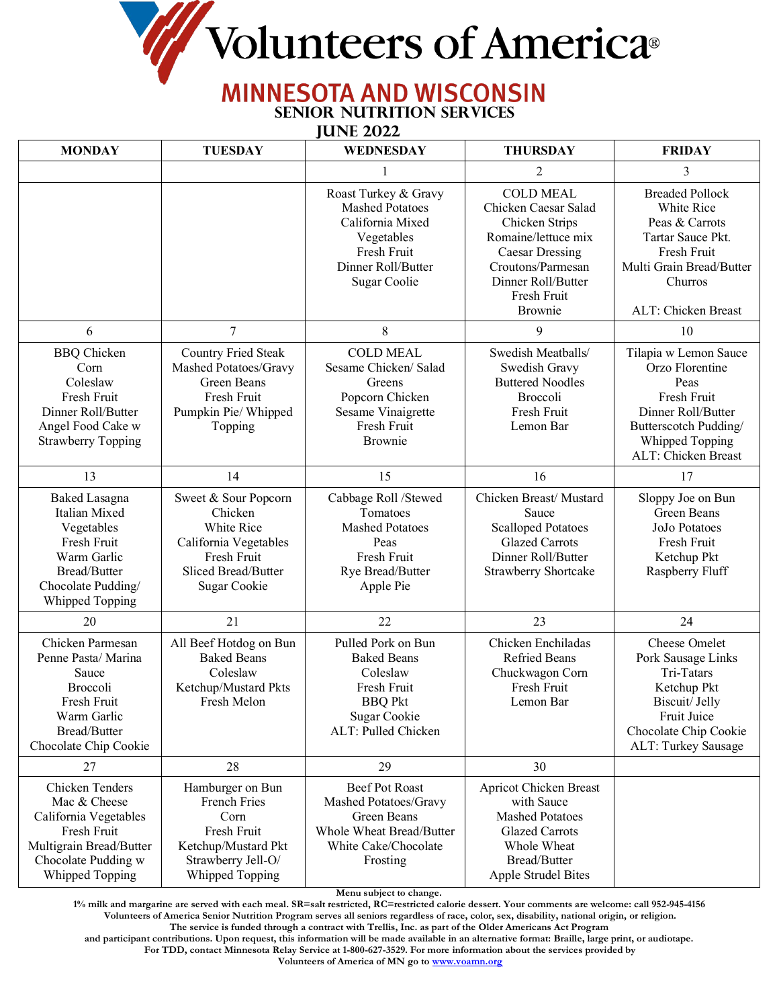Wolunteers of America®

## **MINNESOTA AND WISCONSIN**

**Senior Nutrition Services**

 **June 2022**

| <b>MONDAY</b>                                                                                                                                | <b>TUESDAY</b>                                                                                                               | WEDNESDAY                                                                                                                             | <b>THURSDAY</b>                                                                                                                                                                  | <b>FRIDAY</b>                                                                                                                                                   |
|----------------------------------------------------------------------------------------------------------------------------------------------|------------------------------------------------------------------------------------------------------------------------------|---------------------------------------------------------------------------------------------------------------------------------------|----------------------------------------------------------------------------------------------------------------------------------------------------------------------------------|-----------------------------------------------------------------------------------------------------------------------------------------------------------------|
|                                                                                                                                              |                                                                                                                              | 1                                                                                                                                     | $\overline{2}$                                                                                                                                                                   | 3                                                                                                                                                               |
|                                                                                                                                              |                                                                                                                              | Roast Turkey & Gravy<br><b>Mashed Potatoes</b><br>California Mixed<br>Vegetables<br>Fresh Fruit<br>Dinner Roll/Butter<br>Sugar Coolie | <b>COLD MEAL</b><br>Chicken Caesar Salad<br>Chicken Strips<br>Romaine/lettuce mix<br><b>Caesar Dressing</b><br>Croutons/Parmesan<br>Dinner Roll/Butter<br>Fresh Fruit<br>Brownie | <b>Breaded Pollock</b><br>White Rice<br>Peas & Carrots<br>Tartar Sauce Pkt.<br>Fresh Fruit<br>Multi Grain Bread/Butter<br>Churros<br>ALT: Chicken Breast        |
| 6                                                                                                                                            | $\overline{7}$                                                                                                               | $8\,$                                                                                                                                 | 9                                                                                                                                                                                | 10                                                                                                                                                              |
| <b>BBQ</b> Chicken<br>Corn<br>Coleslaw<br>Fresh Fruit<br>Dinner Roll/Butter<br>Angel Food Cake w<br><b>Strawberry Topping</b>                | <b>Country Fried Steak</b><br>Mashed Potatoes/Gravy<br>Green Beans<br>Fresh Fruit<br>Pumpkin Pie/ Whipped<br>Topping         | <b>COLD MEAL</b><br>Sesame Chicken/ Salad<br>Greens<br>Popcorn Chicken<br>Sesame Vinaigrette<br>Fresh Fruit<br>Brownie                | Swedish Meatballs/<br>Swedish Gravy<br><b>Buttered Noodles</b><br>Broccoli<br>Fresh Fruit<br>Lemon Bar                                                                           | Tilapia w Lemon Sauce<br>Orzo Florentine<br>Peas<br>Fresh Fruit<br>Dinner Roll/Butter<br>Butterscotch Pudding/<br>Whipped Topping<br><b>ALT: Chicken Breast</b> |
| 13                                                                                                                                           | 14                                                                                                                           | 15                                                                                                                                    | 16                                                                                                                                                                               | 17                                                                                                                                                              |
| <b>Baked Lasagna</b><br>Italian Mixed<br>Vegetables<br>Fresh Fruit<br>Warm Garlic<br>Bread/Butter<br>Chocolate Pudding/<br>Whipped Topping   | Sweet & Sour Popcorn<br>Chicken<br>White Rice<br>California Vegetables<br>Fresh Fruit<br>Sliced Bread/Butter<br>Sugar Cookie | Cabbage Roll /Stewed<br>Tomatoes<br><b>Mashed Potatoes</b><br>Peas<br>Fresh Fruit<br>Rye Bread/Butter<br>Apple Pie                    | Chicken Breast/ Mustard<br>Sauce<br><b>Scalloped Potatoes</b><br><b>Glazed Carrots</b><br>Dinner Roll/Butter<br>Strawberry Shortcake                                             | Sloppy Joe on Bun<br>Green Beans<br>JoJo Potatoes<br>Fresh Fruit<br>Ketchup Pkt<br>Raspberry Fluff                                                              |
| 20                                                                                                                                           | 21                                                                                                                           | 22                                                                                                                                    | 23                                                                                                                                                                               | 24                                                                                                                                                              |
| Chicken Parmesan<br>Penne Pasta/ Marina<br>Sauce<br>Broccoli<br>Fresh Fruit<br>Warm Garlic<br>Bread/Butter<br>Chocolate Chip Cookie          | All Beef Hotdog on Bun<br><b>Baked Beans</b><br>Coleslaw<br>Ketchup/Mustard Pkts<br>Fresh Melon                              | Pulled Pork on Bun<br><b>Baked Beans</b><br>Coleslaw<br>Fresh Fruit<br><b>BBQ Pkt</b><br>Sugar Cookie<br>ALT: Pulled Chicken          | Chicken Enchiladas<br><b>Refried Beans</b><br>Chuckwagon Corn<br>Fresh Fruit<br>Lemon Bar                                                                                        | Cheese Omelet<br>Pork Sausage Links<br>Tri-Tatars<br>Ketchup Pkt<br>Biscuit/ Jelly<br>Fruit Juice<br>Chocolate Chip Cookie<br>ALT: Turkey Sausage               |
| 27                                                                                                                                           | 28                                                                                                                           | 29                                                                                                                                    | 30                                                                                                                                                                               |                                                                                                                                                                 |
| Chicken Tenders<br>Mac & Cheese<br>California Vegetables<br>Fresh Fruit<br>Multigrain Bread/Butter<br>Chocolate Pudding w<br>Whipped Topping | Hamburger on Bun<br>French Fries<br>Corn<br>Fresh Fruit<br>Ketchup/Mustard Pkt<br>Strawberry Jell-O/<br>Whipped Topping      | Beef Pot Roast<br>Mashed Potatoes/Gravy<br>Green Beans<br>Whole Wheat Bread/Butter<br>White Cake/Chocolate<br>Frosting                | Apricot Chicken Breast<br>with Sauce<br><b>Mashed Potatoes</b><br><b>Glazed Carrots</b><br>Whole Wheat<br>Bread/Butter<br>Apple Strudel Bites                                    |                                                                                                                                                                 |

**Menu subject to change.**

**1% milk and margarine are served with each meal. SR=salt restricted, RC=restricted calorie dessert. Your comments are welcome: call 952-945-4156 Volunteers of America Senior Nutrition Program serves all seniors regardless of race, color, sex, disability, national origin, or religion.** 

**The service is funded through a contract with Trellis, Inc. as part of the Older Americans Act Program** 

**and participant contributions. Upon request, this information will be made available in an alternative format: Braille, large print, or audiotape. For TDD, contact Minnesota Relay Service at 1-800-627-3529. For more information about the services provided by**

**Volunteers of America of MN go to [www.voamn.org](http://www.voamn.org/)**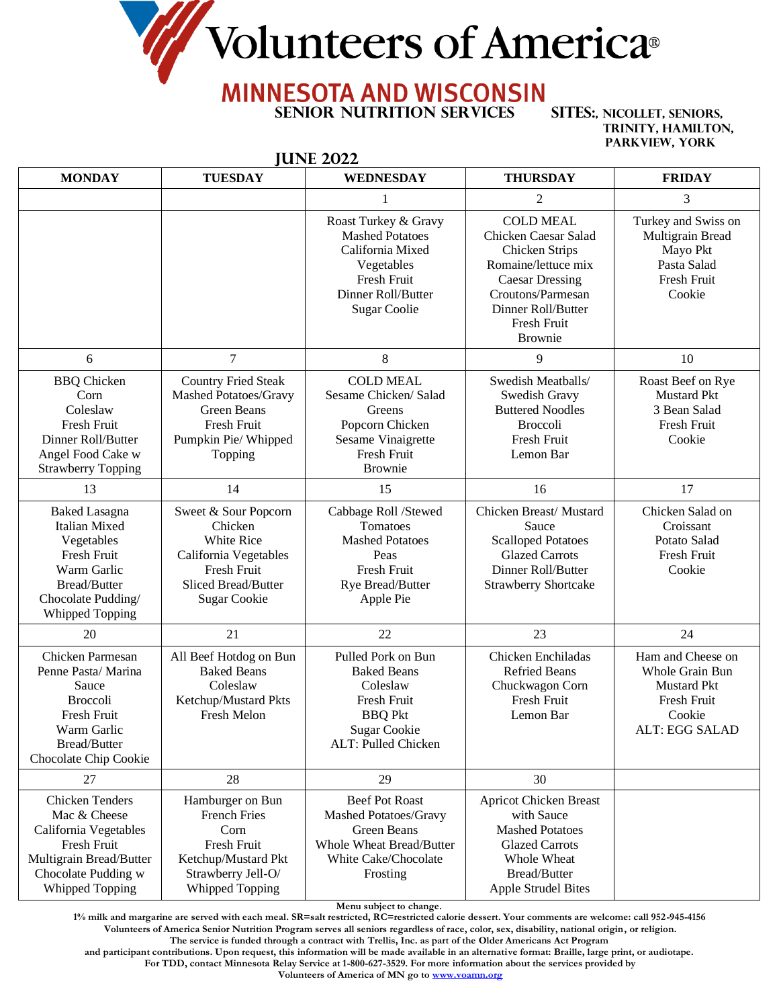Volunteers of America®

## **MINNESOTA AND WISCONSIN**

**HINE 2022** 

**Senior Nutrition Services Sites:, Nicollet, Seniors,**

**Trinity, Hamilton, Parkview, York** 

| <b>MONDAY</b>                                                                                                                                       | <b>TUESDAY</b>                                                                                                                      | JAIN ZVZZ<br><b>WEDNESDAY</b>                                                                                                                | <b>THURSDAY</b>                                                                                                                                                                                           | <b>FRIDAY</b>                                                                                                |
|-----------------------------------------------------------------------------------------------------------------------------------------------------|-------------------------------------------------------------------------------------------------------------------------------------|----------------------------------------------------------------------------------------------------------------------------------------------|-----------------------------------------------------------------------------------------------------------------------------------------------------------------------------------------------------------|--------------------------------------------------------------------------------------------------------------|
|                                                                                                                                                     |                                                                                                                                     | 1                                                                                                                                            |                                                                                                                                                                                                           |                                                                                                              |
|                                                                                                                                                     |                                                                                                                                     | Roast Turkey & Gravy<br><b>Mashed Potatoes</b><br>California Mixed<br>Vegetables<br>Fresh Fruit<br>Dinner Roll/Butter<br><b>Sugar Coolie</b> | $\overline{2}$<br><b>COLD MEAL</b><br>Chicken Caesar Salad<br>Chicken Strips<br>Romaine/lettuce mix<br><b>Caesar Dressing</b><br>Croutons/Parmesan<br>Dinner Roll/Butter<br>Fresh Fruit<br><b>Brownie</b> | 3<br>Turkey and Swiss on<br>Multigrain Bread<br>Mayo Pkt<br>Pasta Salad<br>Fresh Fruit<br>Cookie             |
| 6                                                                                                                                                   | $\tau$                                                                                                                              | $8\,$                                                                                                                                        | 9                                                                                                                                                                                                         | 10                                                                                                           |
| <b>BBQ</b> Chicken<br>Corn<br>Coleslaw<br>Fresh Fruit<br>Dinner Roll/Butter<br>Angel Food Cake w<br><b>Strawberry Topping</b>                       | <b>Country Fried Steak</b><br>Mashed Potatoes/Gravy<br>Green Beans<br>Fresh Fruit<br>Pumpkin Pie/Whipped<br>Topping                 | <b>COLD MEAL</b><br>Sesame Chicken/ Salad<br>Greens<br>Popcorn Chicken<br>Sesame Vinaigrette<br>Fresh Fruit<br><b>Brownie</b>                | Swedish Meatballs/<br>Swedish Gravy<br><b>Buttered Noodles</b><br><b>Broccoli</b><br>Fresh Fruit<br>Lemon Bar                                                                                             | Roast Beef on Rye<br><b>Mustard Pkt</b><br>3 Bean Salad<br>Fresh Fruit<br>Cookie                             |
| 13                                                                                                                                                  | 14                                                                                                                                  | 15                                                                                                                                           | 16                                                                                                                                                                                                        | 17                                                                                                           |
| <b>Baked Lasagna</b><br>Italian Mixed<br>Vegetables<br>Fresh Fruit<br>Warm Garlic<br>Bread/Butter<br>Chocolate Pudding/<br>Whipped Topping          | Sweet & Sour Popcorn<br>Chicken<br>White Rice<br>California Vegetables<br>Fresh Fruit<br>Sliced Bread/Butter<br><b>Sugar Cookie</b> | Cabbage Roll /Stewed<br>Tomatoes<br><b>Mashed Potatoes</b><br>Peas<br>Fresh Fruit<br>Rye Bread/Butter<br>Apple Pie                           | Chicken Breast/Mustard<br>Sauce<br><b>Scalloped Potatoes</b><br><b>Glazed Carrots</b><br>Dinner Roll/Butter<br><b>Strawberry Shortcake</b>                                                                | Chicken Salad on<br>Croissant<br>Potato Salad<br>Fresh Fruit<br>Cookie                                       |
| 20                                                                                                                                                  | 21                                                                                                                                  | 22                                                                                                                                           | 23                                                                                                                                                                                                        | 24                                                                                                           |
| Chicken Parmesan<br>Penne Pasta/ Marina<br>Sauce<br><b>Broccoli</b><br>Fresh Fruit<br>Warm Garlic<br>Bread/Butter<br>Chocolate Chip Cookie          | All Beef Hotdog on Bun<br><b>Baked Beans</b><br>Coleslaw<br>Ketchup/Mustard Pkts<br>Fresh Melon                                     | Pulled Pork on Bun<br><b>Baked Beans</b><br>Coleslaw<br>Fresh Fruit<br><b>BBQ</b> Pkt<br><b>Sugar Cookie</b><br>ALT: Pulled Chicken          | Chicken Enchiladas<br><b>Refried Beans</b><br>Chuckwagon Corn<br>Fresh Fruit<br>Lemon Bar                                                                                                                 | Ham and Cheese on<br>Whole Grain Bun<br><b>Mustard Pkt</b><br>Fresh Fruit<br>Cookie<br><b>ALT: EGG SALAD</b> |
| 27                                                                                                                                                  | 28                                                                                                                                  | 29                                                                                                                                           | 30                                                                                                                                                                                                        |                                                                                                              |
| <b>Chicken Tenders</b><br>Mac & Cheese<br>California Vegetables<br>Fresh Fruit<br>Multigrain Bread/Butter<br>Chocolate Pudding w<br>Whipped Topping | Hamburger on Bun<br><b>French Fries</b><br>Corn<br>Fresh Fruit<br>Ketchup/Mustard Pkt<br>Strawberry Jell-O/<br>Whipped Topping      | <b>Beef Pot Roast</b><br>Mashed Potatoes/Gravy<br>Green Beans<br><b>Whole Wheat Bread/Butter</b><br>White Cake/Chocolate<br>Frosting         | Apricot Chicken Breast<br>with Sauce<br><b>Mashed Potatoes</b><br><b>Glazed Carrots</b><br>Whole Wheat<br><b>Bread/Butter</b><br><b>Apple Strudel Bites</b>                                               |                                                                                                              |

**Menu subject to change.**

**1% milk and margarine are served with each meal. SR=salt restricted, RC=restricted calorie dessert. Your comments are welcome: call 952-945-4156 Volunteers of America Senior Nutrition Program serves all seniors regardless of race, color, sex, disability, national origin, or religion.** 

**The service is funded through a contract with Trellis, Inc. as part of the Older Americans Act Program** 

**and participant contributions. Upon request, this information will be made available in an alternative format: Braille, large print, or audiotape.**

**For TDD, contact Minnesota Relay Service at 1-800-627-3529. For more information about the services provided by**

**Volunteers of America of MN go to [www.voamn.org](http://www.voamn.org/)**